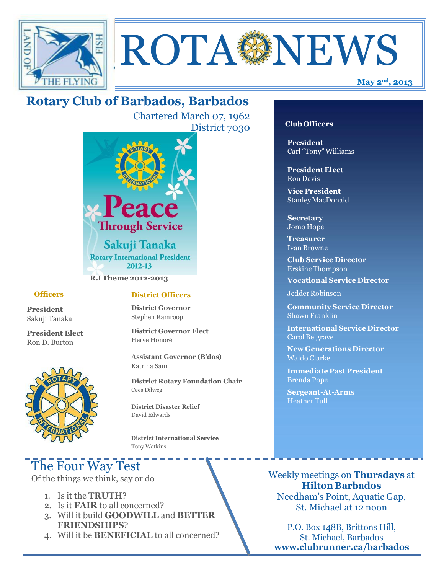



## **Rotary Club of Barbados, Barbados**

Chartered March 07, 1962 District 7030



**R.I Theme 2012-2013**

#### **Officers**

**President** Sakuji Tanaka

**President Elect** Ron D. Burton



#### **District Officers**

**District Governor** Stephen Ramroop

**District Governor Elect** Herve Honoré

**Assistant Governor (B'dos)** Katrina Sam

**District Rotary Foundation Chair** Cees Dilweg

**District Disaster Relief**  David Edwards

 **District International Service** Tony Watkins

# The Four Way Test

Of the things we think, say or do

- 1. Is it the **TRUTH**?
- 2. Is it **FAIR** to all concerned?
- 3. Will it build **GOODWILL** and **BETTER FRIENDSHIPS**?
- 4. Will it be **BENEFICIAL** to all concerned?

#### **Club Officers**

**President** Carl "Tony" Williams

**President Elect** Ron Davis

**Vice President** StanleyMacDonald

**Secretary** Jomo Hope

**Treasurer** Ivan Browne

**Club Service Director** Erskine Thompson

**Vocational Service Director**

Jedder Robinson

**Community Service Director** Shawn Franklin

**International Service Director** Carol Belgrave

**New Generations Director** Waldo Clarke

**Immediate Past President** Brenda Pope

**Sergeant-At-Arms** Heather Tull

Weekly meetings on **Thursdays** at **Hilton Barbados** Needham's Point, Aquatic Gap, St. Michael at 12 noon

P.O. Box 148B, Brittons Hill, St. Michael, Barbados **[www.clubrunner.ca/barbados](http://www.clubrunner.ca/barbados)**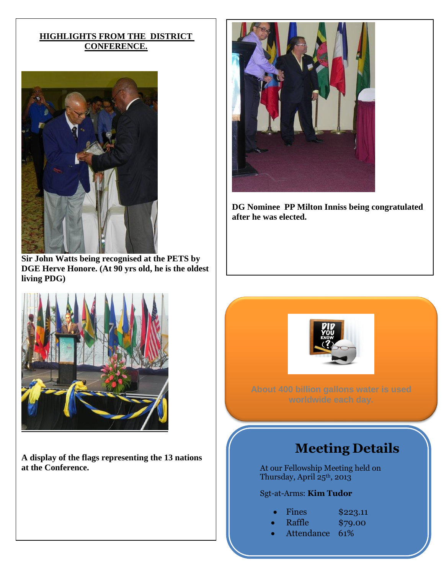### **HIGHLIGHTS FROM THE DISTRICT CONFERENCE.**



**Sir John Watts being recognised at the PETS by DGE Herve Honore. (At 90 yrs old, he is the oldest living PDG)**



**A display of the flags representing the 13 nations at the Conference.**



**DG Nominee PP Milton Inniss being congratulated after he was elected.**



**About 400 billion gallons water is used** 

## **Meeting Details**

At our Fellowship Meeting held on Thursday, April 25<sup>th</sup>, 2013

## Sgt-at-Arms: **Kim Tudor**

- Fines \$223.11<br>Raffle \$79.00
	- $$79.00$
- Attendance 61%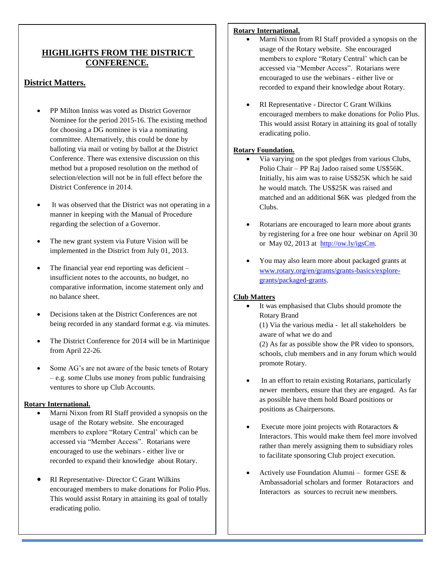## **HIGHLIGHTS FROM THE DISTRICT CONFERENCE.**

### **District Matters.**

- PP Milton Inniss was voted as District Governor Nominee for the period 2015-16. The existing method for choosing a DG nominee is via a nominating committee. Alternatively, this could be done by balloting via mail or voting by ballot at the District Conference. There was extensive discussion on this method but a proposed resolution on the method of selection/election will not be in full effect before the District Conference in 2014.
- It was observed that the District was not operating in a manner in keeping with the Manual of Procedure regarding the selection of a Governor.
- The new grant system via Future Vision will be implemented in the District from July 01, 2013.
- The financial year end reporting was deficient insufficient notes to the accounts, no budget, no comparative information, income statement only and no balance sheet.
- Decisions taken at the District Conferences are not being recorded in any standard format e.g. via minutes.
- The District Conference for 2014 will be in Martinique from April 22-26.
- Some AG's are not aware of the basic tenets of Rotary – e.g. some Clubs use money from public fundraising ventures to shore up Club Accounts.

#### **Rotary International.**

- Marni Nixon from RI Staff provided a synopsis on the usage of the Rotary website. She encouraged members to explore "Rotary Central' which can be accessed via "Member Access". Rotarians were encouraged to use the webinars - either live or recorded to expand their knowledge about Rotary.
- RI Representative- Director C Grant Wilkins encouraged members to make donations for Polio Plus. This would assist Rotary in attaining its goal of totally eradicating polio.

You may also learn more about packaged

#### **Rotary International.**

- Marni Nixon from RI Staff provided a synopsis on the usage of the Rotary website. She encouraged members to explore "Rotary Central' which can be accessed via "Member Access". Rotarians were encouraged to use the webinars - either live or recorded to expand their knowledge about Rotary.
- RI Representative Director C Grant Wilkins encouraged members to make donations for Polio Plus. This would assist Rotary in attaining its goal of totally eradicating polio.

#### **Rotary Foundation.**

- Via varying on the spot pledges from various Clubs, Polio Chair – PP Raj Jadoo raised some US\$56K. Initially, his aim was to raise US\$25K which he said he would match. The US\$25K was raised and matched and an additional \$6K was pledged from the Clubs.
- Rotarians are encouraged to learn more about grants by registering for a free one hour webinar on April 30 or May 02, 2013 at [http://ow.ly/igsCm.](http://ow.ly/igsCm)
- You may also learn more about packaged grants at [www.rotary.org/en/grants/grants-basics/explore](http://www.rotary.org/en/grants/grants-basics/explore-grants/packaged-grants)[grants/packaged-grants.](http://www.rotary.org/en/grants/grants-basics/explore-grants/packaged-grants)

#### **Club Matters**

 It was emphasised that Clubs should promote the Rotary Brand

(1) Via the various media - let all stakeholders be aware of what we do and

(2) As far as possible show the PR video to sponsors, schools, club members and in any forum which would promote Rotary.

- In an effort to retain existing Rotarians, particularly newer members, ensure that they are engaged. As far as possible have them hold Board positions or positions as Chairpersons.
- Execute more joint projects with Rotaractors & Interactors. This would make them feel more involved rather than merely assigning them to subsidiary roles to facilitate sponsoring Club project execution.
- Actively use Foundation Alumni former GSE & Ambassadorial scholars and former Rotaractors and Interactors as sources to recruit new members.